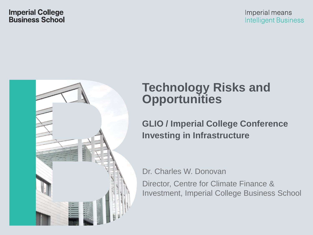

# **Technology Risks and Opportunities**

#### **GLIO / Imperial College Conference Investing in Infrastructure**

Dr. Charles W. Donovan

Director, Centre for Climate Finance & Investment, Imperial College Business School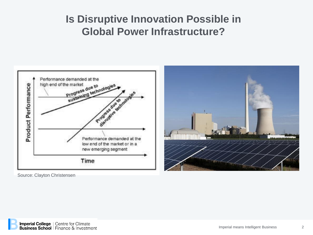## **Is Disruptive Innovation Possible in Global Power Infrastructure?**



Source: Clayton Christensen

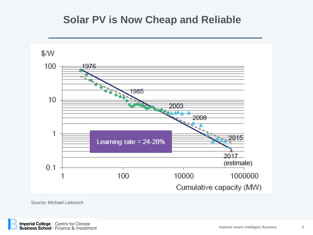#### **Solar PV is Now Cheap and Reliable**



Source: Michael Liebreich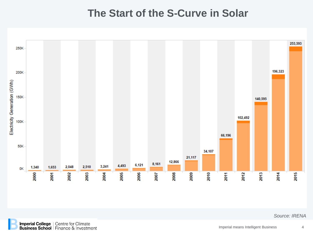#### **The Start of the S-Curve in Solar**



**Imperial College** | Centre for Climate<br> **Business School** | Finance & Investment 4

*Source: IRENA*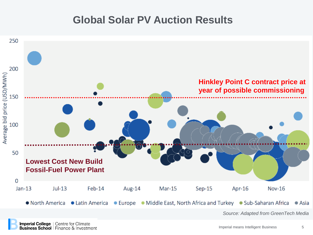### **Global Solar PV Auction Results**

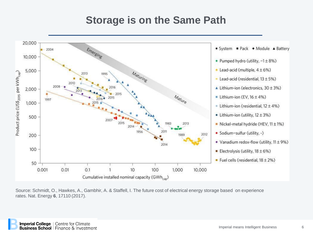### **Storage is on the Same Path**



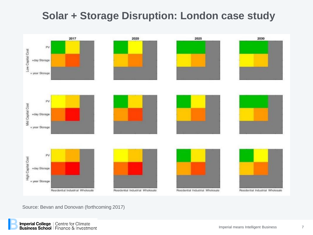# **Solar + Storage Disruption: London case study**



Source: Bevan and Donovan (forthcoming 2017)

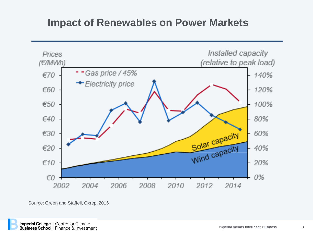#### **Impact of Renewables on Power Markets**



Source: Green and Staffell, Oxrep, 2016